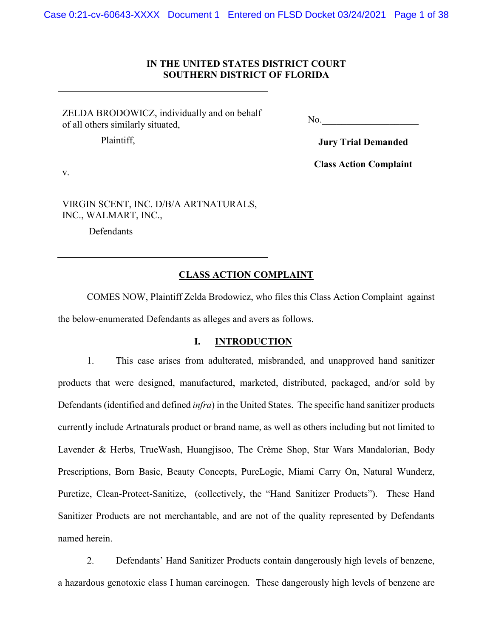# **IN THE UNITED STATES DISTRICT COURT SOUTHERN DISTRICT OF FLORIDA**

ZELDA BRODOWICZ, individually and on behalf of all others similarly situated,

VIRGIN SCENT, INC. D/B/A ARTNATURALS,

Plaintiff,

 $No.$ 

**Jury Trial Demanded**

**Class Action Complaint**

INC., WALMART, INC., Defendants

v.

## **CLASS ACTION COMPLAINT**

COMES NOW, Plaintiff Zelda Brodowicz, who files this Class Action Complaint against the below-enumerated Defendants as alleges and avers as follows.

# **I. INTRODUCTION**

1. This case arises from adulterated, misbranded, and unapproved hand sanitizer products that were designed, manufactured, marketed, distributed, packaged, and/or sold by Defendants (identified and defined *infra*) in the United States. The specific hand sanitizer products currently include Artnaturals product or brand name, as well as others including but not limited to Lavender & Herbs, TrueWash, Huangjisoo, The Crème Shop, Star Wars Mandalorian, Body Prescriptions, Born Basic, Beauty Concepts, PureLogic, Miami Carry On, Natural Wunderz, Puretize, Clean-Protect-Sanitize, (collectively, the "Hand Sanitizer Products"). These Hand Sanitizer Products are not merchantable, and are not of the quality represented by Defendants named herein.

2. Defendants' Hand Sanitizer Products contain dangerously high levels of benzene, a hazardous genotoxic class I human carcinogen. These dangerously high levels of benzene are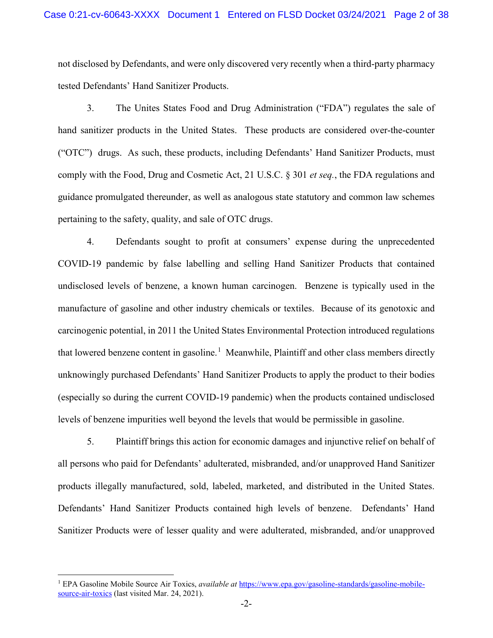not disclosed by Defendants, and were only discovered very recently when a third-party pharmacy tested Defendants' Hand Sanitizer Products.

3. The Unites States Food and Drug Administration ("FDA") regulates the sale of hand sanitizer products in the United States. These products are considered over-the-counter ("OTC") drugs. As such, these products, including Defendants' Hand Sanitizer Products, must comply with the Food, Drug and Cosmetic Act, 21 U.S.C. § 301 *et seq.*, the FDA regulations and guidance promulgated thereunder, as well as analogous state statutory and common law schemes pertaining to the safety, quality, and sale of OTC drugs.

4. Defendants sought to profit at consumers' expense during the unprecedented COVID-19 pandemic by false labelling and selling Hand Sanitizer Products that contained undisclosed levels of benzene, a known human carcinogen. Benzene is typically used in the manufacture of gasoline and other industry chemicals or textiles. Because of its genotoxic and carcinogenic potential, in 2011 the United States Environmental Protection introduced regulations that lowered benzene content in gasoline.<sup>[1](#page-1-0)</sup> Meanwhile, Plaintiff and other class members directly unknowingly purchased Defendants' Hand Sanitizer Products to apply the product to their bodies (especially so during the current COVID-19 pandemic) when the products contained undisclosed levels of benzene impurities well beyond the levels that would be permissible in gasoline.

5. Plaintiff brings this action for economic damages and injunctive relief on behalf of all persons who paid for Defendants' adulterated, misbranded, and/or unapproved Hand Sanitizer products illegally manufactured, sold, labeled, marketed, and distributed in the United States. Defendants' Hand Sanitizer Products contained high levels of benzene. Defendants' Hand Sanitizer Products were of lesser quality and were adulterated, misbranded, and/or unapproved

<span id="page-1-0"></span> <sup>1</sup> EPA Gasoline Mobile Source Air Toxics, *available at* [https://www.epa.gov/gasoline-standards/gasoline-mobile](https://www.epa.gov/gasoline-standards/gasoline-mobile-source-air-toxics)[source-air-toxics](https://www.epa.gov/gasoline-standards/gasoline-mobile-source-air-toxics) (last visited Mar. 24, 2021).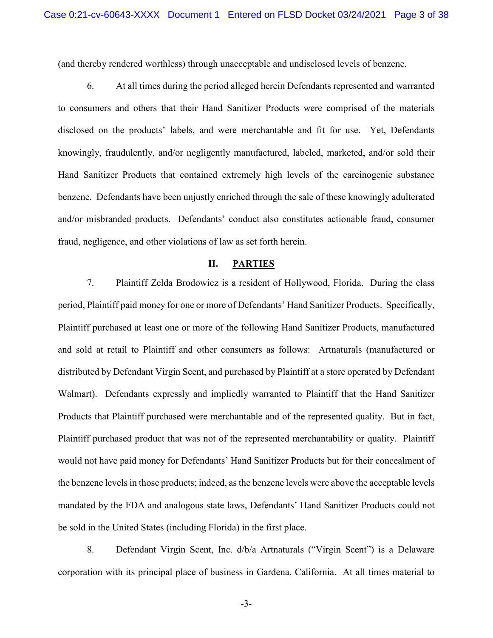(and thereby rendered worthless) through unacceptable and undisclosed levels of benzene.

6. At all times during the period alleged herein Defendants represented and warranted to consumers and others that their Hand Sanitizer Products were comprised of the materials disclosed on the products' labels, and were merchantable and fit for use. Yet, Defendants knowingly, fraudulently, and/or negligently manufactured, labeled, marketed, and/or sold their Hand Sanitizer Products that contained extremely high levels of the carcinogenic substance benzene. Defendants have been unjustly enriched through the sale of these knowingly adulterated and/or misbranded products. Defendants' conduct also constitutes actionable fraud, consumer fraud, negligence, and other violations of law as set forth herein.

#### **II. PARTIES**

7. Plaintiff Zelda Brodowicz is a resident of Hollywood, Florida. During the class period, Plaintiff paid money for one or more of Defendants' Hand Sanitizer Products. Specifically, Plaintiff purchased at least one or more of the following Hand Sanitizer Products, manufactured and sold at retail to Plaintiff and other consumers as follows: Artnaturals (manufactured or distributed by Defendant Virgin Scent, and purchased by Plaintiff at a store operated by Defendant Walmart). Defendants expressly and impliedly warranted to Plaintiff that the Hand Sanitizer Products that Plaintiff purchased were merchantable and of the represented quality. But in fact, Plaintiff purchased product that was not of the represented merchantability or quality. Plaintiff would not have paid money for Defendants' Hand Sanitizer Products but for their concealment of the benzene levels in those products; indeed, as the benzene levels were above the acceptable levels mandated by the FDA and analogous state laws, Defendants' Hand Sanitizer Products could not be sold in the United States (including Florida) in the first place.

8. Defendant Virgin Scent, Inc. d/b/a Artnaturals ("Virgin Scent") is a Delaware corporation with its principal place of business in Gardena, California. At all times material to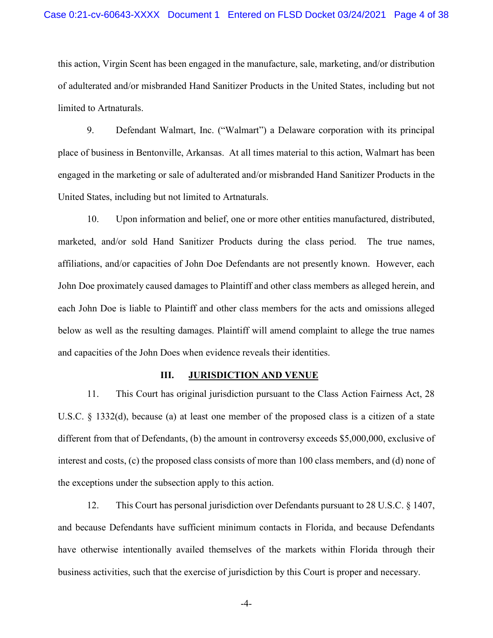this action, Virgin Scent has been engaged in the manufacture, sale, marketing, and/or distribution of adulterated and/or misbranded Hand Sanitizer Products in the United States, including but not limited to Artnaturals.

9. Defendant Walmart, Inc. ("Walmart") a Delaware corporation with its principal place of business in Bentonville, Arkansas. At all times material to this action, Walmart has been engaged in the marketing or sale of adulterated and/or misbranded Hand Sanitizer Products in the United States, including but not limited to Artnaturals.

10. Upon information and belief, one or more other entities manufactured, distributed, marketed, and/or sold Hand Sanitizer Products during the class period. The true names, affiliations, and/or capacities of John Doe Defendants are not presently known. However, each John Doe proximately caused damages to Plaintiff and other class members as alleged herein, and each John Doe is liable to Plaintiff and other class members for the acts and omissions alleged below as well as the resulting damages. Plaintiff will amend complaint to allege the true names and capacities of the John Does when evidence reveals their identities.

#### **III. JURISDICTION AND VENUE**

11. This Court has original jurisdiction pursuant to the Class Action Fairness Act, 28 U.S.C. § 1332(d), because (a) at least one member of the proposed class is a citizen of a state different from that of Defendants, (b) the amount in controversy exceeds \$5,000,000, exclusive of interest and costs, (c) the proposed class consists of more than 100 class members, and (d) none of the exceptions under the subsection apply to this action.

12. This Court has personal jurisdiction over Defendants pursuant to 28 U.S.C. § 1407, and because Defendants have sufficient minimum contacts in Florida, and because Defendants have otherwise intentionally availed themselves of the markets within Florida through their business activities, such that the exercise of jurisdiction by this Court is proper and necessary.

-4-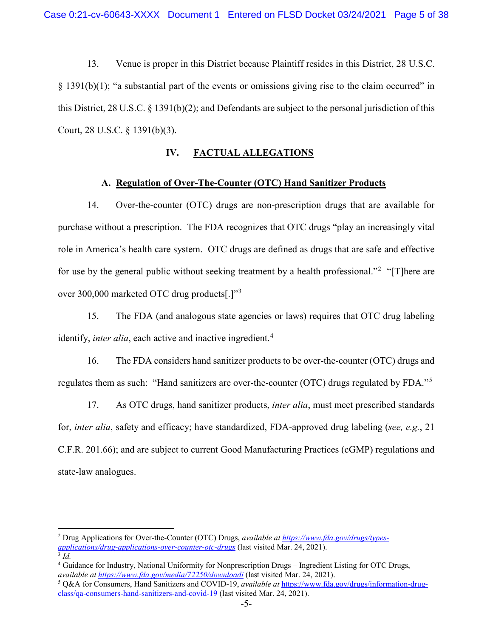13. Venue is proper in this District because Plaintiff resides in this District, 28 U.S.C. § 1391(b)(1); "a substantial part of the events or omissions giving rise to the claim occurred" in this District, 28 U.S.C.  $\S$  1391(b)(2); and Defendants are subject to the personal jurisdiction of this Court, 28 U.S.C. § 1391(b)(3).

# **IV. FACTUAL ALLEGATIONS**

## **A. Regulation of Over-The-Counter (OTC) Hand Sanitizer Products**

14. Over-the-counter (OTC) drugs are non-prescription drugs that are available for purchase without a prescription. The FDA recognizes that OTC drugs "play an increasingly vital role in America's health care system. OTC drugs are defined as drugs that are safe and effective for use by the general public without seeking treatment by a health professional."<sup>[2](#page-4-0)</sup> "[T]here are over 300,000 marketed OTC drug products[.]"[3](#page-4-1)

15. The FDA (and analogous state agencies or laws) requires that OTC drug labeling identify, *inter alia*, each active and inactive ingredient.<sup>[4](#page-4-2)</sup>

16. The FDA considers hand sanitizer products to be over-the-counter (OTC) drugs and regulates them as such: "Hand sanitizers are over-the-counter (OTC) drugs regulated by FDA."[5](#page-4-3)

17. As OTC drugs, hand sanitizer products, *inter alia*, must meet prescribed standards for, *inter alia*, safety and efficacy; have standardized, FDA-approved drug labeling (*see, e.g.*, 21 C.F.R. 201.66); and are subject to current Good Manufacturing Practices (cGMP) regulations and state-law analogues.

<span id="page-4-0"></span> <sup>2</sup> Drug Applications for Over-the-Counter (OTC) Drugs, *available a[t https://www.fda.gov/drugs/types](https://www.fda.gov/drugs/types-applications/drug-applications-over-counter-otc-drugs)[applications/drug-applications-over-counter-otc-drugs](https://www.fda.gov/drugs/types-applications/drug-applications-over-counter-otc-drugs)* (last visited Mar. 24, 2021). <sup>3</sup> *Id.*

<span id="page-4-2"></span><span id="page-4-1"></span><sup>4</sup> Guidance for Industry, National Uniformity for Nonprescription Drugs – Ingredient Listing for OTC Drugs, *available at<https://www.fda.gov/media/72250/downloadi>* (last visited Mar. 24, 2021).

<span id="page-4-3"></span><sup>5</sup> Q&A for Consumers, Hand Sanitizers and COVID-19, *available at* [https://www.fda.gov/drugs/information-drug](https://www.fda.gov/drugs/information-drug-class/qa-consumers-hand-sanitizers-and-covid-19)[class/qa-consumers-hand-sanitizers-and-covid-19](https://www.fda.gov/drugs/information-drug-class/qa-consumers-hand-sanitizers-and-covid-19) (last visited Mar. 24, 2021).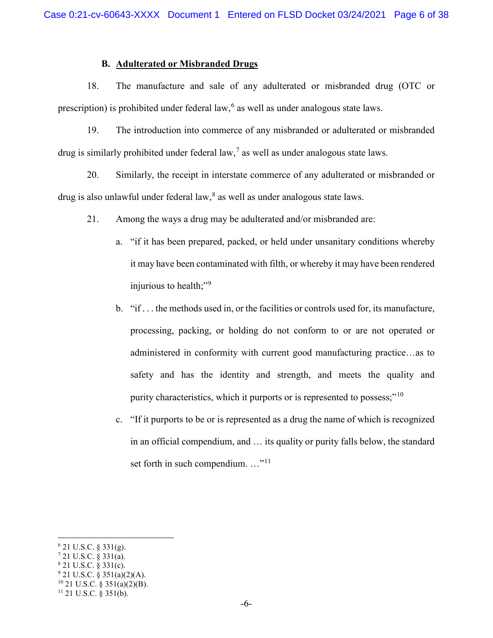## **B. Adulterated or Misbranded Drugs**

18. The manufacture and sale of any adulterated or misbranded drug (OTC or prescription) is prohibited under federal law, <sup>[6](#page-5-0)</sup> as well as under analogous state laws.

19. The introduction into commerce of any misbranded or adulterated or misbranded drug is similarly prohibited under federal law,<sup>[7](#page-5-1)</sup> as well as under analogous state laws.

20. Similarly, the receipt in interstate commerce of any adulterated or misbranded or drug is also unlawful under federal law, $<sup>8</sup>$  $<sup>8</sup>$  $<sup>8</sup>$  as well as under analogous state laws.</sup>

- 21. Among the ways a drug may be adulterated and/or misbranded are:
	- a. "if it has been prepared, packed, or held under unsanitary conditions whereby it may have been contaminated with filth, or whereby it may have been rendered injurious to health;"<sup>[9](#page-5-3)</sup>
	- b. "if . . . the methods used in, or the facilities or controls used for, its manufacture, processing, packing, or holding do not conform to or are not operated or administered in conformity with current good manufacturing practice…as to safety and has the identity and strength, and meets the quality and purity characteristics, which it purports or is represented to possess;"<sup>[10](#page-5-4)</sup>
	- c. "If it purports to be or is represented as a drug the name of which is recognized in an official compendium, and … its quality or purity falls below, the standard set forth in such compendium. ..."<sup>[11](#page-5-5)</sup>

<span id="page-5-0"></span> $6$  21 U.S.C. § 331(g).

<span id="page-5-2"></span><span id="page-5-1"></span> $7$  21 U.S.C. § 331(a).

<sup>8</sup> 21 U.S.C. § 331(c).

<span id="page-5-3"></span> $9$  21 U.S.C. § 351(a)(2)(A).

<span id="page-5-4"></span> $10$  21 U.S.C. § 351(a)(2)(B).

<span id="page-5-5"></span> $11$  21 U.S.C. § 351(b).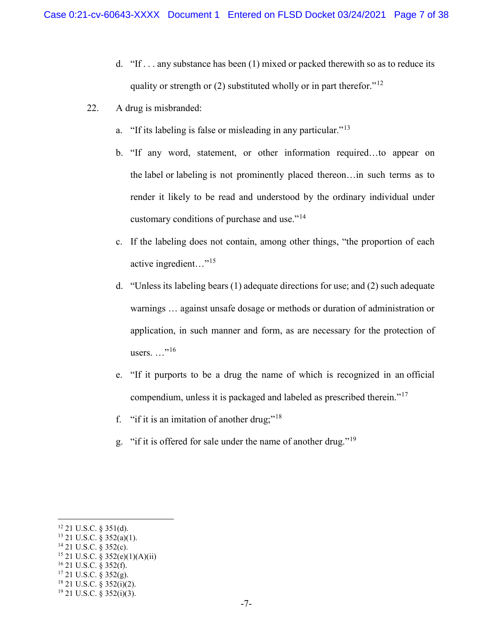- d. "If  $\ldots$  any substance has been (1) mixed or packed therewith so as to reduce its quality or strength or (2) substituted wholly or in part therefor."<sup>[12](#page-6-0)</sup>
- 22. A drug is misbranded:
	- a. "If its labeling is false or misleading in any particular."[13](#page-6-1)
	- b. "If any word, statement, or other information required…to appear on the label or labeling is not prominently placed thereon…in such terms as to render it likely to be read and understood by the ordinary individual under customary conditions of purchase and use."[14](#page-6-2)
	- c. If the labeling does not contain, among other things, "the proportion of each active ingredient…"[15](#page-6-3)
	- d. "Unless its labeling bears (1) adequate directions for use; and (2) such adequate warnings … against unsafe dosage or methods or duration of administration or application, in such manner and form, as are necessary for the protection of users.  $\ldots$ <sup>"[16](#page-6-4)</sup>
	- e. "If it purports to be a drug the name of which is recognized in an official compendium, unless it is packaged and labeled as prescribed therein."[17](#page-6-5)
	- f. "if it is an imitation of another drug;"<sup>[18](#page-6-6)</sup>
	- g. "if it is offered for sale under the name of another drug."[19](#page-6-7)

<span id="page-6-0"></span> <sup>12</sup> 21 U.S.C. § 351(d).

<span id="page-6-1"></span> $13$  21 U.S.C.  $\frac{8}{9}$  352(a)(1).

<span id="page-6-2"></span> $14$  21 U.S.C. § 352(c).

<sup>15</sup> 21 U.S.C. § 352(e)(1)(A)(ii)

<span id="page-6-4"></span><span id="page-6-3"></span><sup>16</sup> 21 U.S.C. § 352(f).

<span id="page-6-5"></span><sup>17</sup> 21 U.S.C. § 352(g).

<span id="page-6-6"></span> $18$  21 U.S.C. § 352(i)(2).

<span id="page-6-7"></span> $19$  21 U.S.C. § 352(i)(3).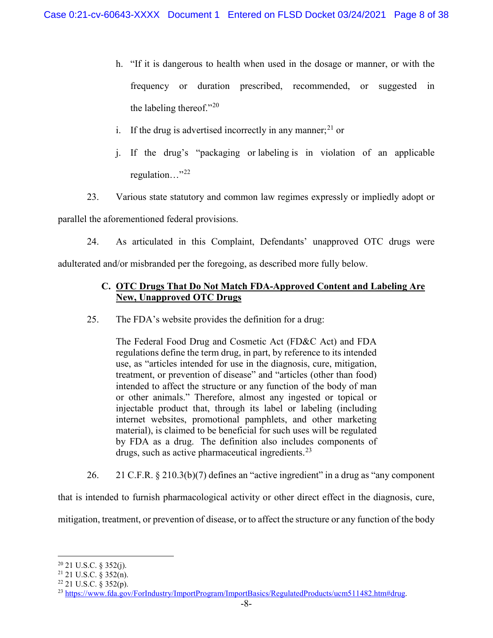- h. "If it is dangerous to health when used in the dosage or manner, or with the frequency or duration prescribed, recommended, or suggested in the labeling thereof."[20](#page-7-0)
- i. If the drug is advertised incorrectly in any manner;  $2^{1}$  or
- j. If the drug's "packaging or labeling is in violation of an applicable regulation…"[22](#page-7-2)
- 23. Various state statutory and common law regimes expressly or impliedly adopt or

parallel the aforementioned federal provisions.

24. As articulated in this Complaint, Defendants' unapproved OTC drugs were

adulterated and/or misbranded per the foregoing, as described more fully below.

# **C. OTC Drugs That Do Not Match FDA-Approved Content and Labeling Are New, Unapproved OTC Drugs**

25. The FDA's website provides the definition for a drug:

The Federal Food Drug and Cosmetic Act (FD&C Act) and FDA regulations define the term drug, in part, by reference to its intended use, as "articles intended for use in the diagnosis, cure, mitigation, treatment, or prevention of disease" and "articles (other than food) intended to affect the structure or any function of the body of man or other animals." Therefore, almost any ingested or topical or injectable product that, through its label or labeling (including internet websites, promotional pamphlets, and other marketing material), is claimed to be beneficial for such uses will be regulated by FDA as a drug. The definition also includes components of drugs, such as active pharmaceutical ingredients.  $23$ 

26. 21 C.F.R. § 210.3(b)(7) defines an "active ingredient" in a drug as "any component

that is intended to furnish pharmacological activity or other direct effect in the diagnosis, cure,

mitigation, treatment, or prevention of disease, or to affect the structure or any function of the body

<span id="page-7-0"></span> $20$  21 U.S.C. § 352(j).

<span id="page-7-1"></span><sup>21</sup> 21 U.S.C. § 352(n).

<span id="page-7-2"></span> $22$  21 U.S.C. § 352(p).

<span id="page-7-3"></span><sup>23</sup> [https://www.fda.gov/ForIndustry/ImportProgram/ImportBasics/RegulatedProducts/ucm511482.htm#drug.](https://www.fda.gov/ForIndustry/ImportProgram/ImportBasics/RegulatedProducts/ucm511482.htm#drug)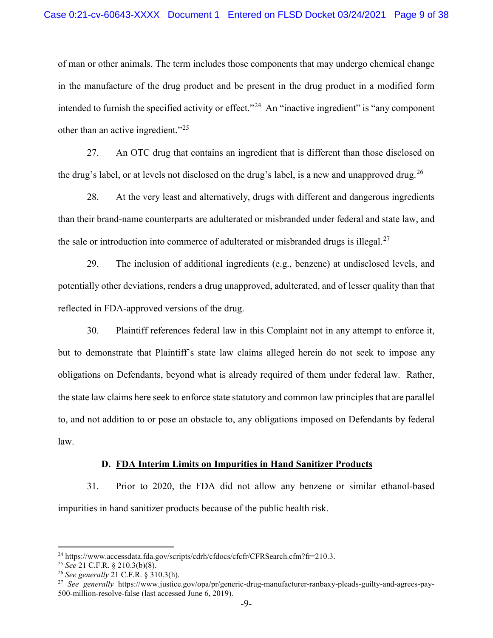### Case 0:21-cv-60643-XXXX Document 1 Entered on FLSD Docket 03/24/2021 Page 9 of 38

of man or other animals. The term includes those components that may undergo chemical change in the manufacture of the drug product and be present in the drug product in a modified form intended to furnish the specified activity or effect."<sup>[24](#page-8-0)</sup> An "inactive ingredient" is "any component other than an active ingredient."[25](#page-8-1)

27. An OTC drug that contains an ingredient that is different than those disclosed on the drug's label, or at levels not disclosed on the drug's label, is a new and unapproved drug.<sup>[26](#page-8-2)</sup>

28. At the very least and alternatively, drugs with different and dangerous ingredients than their brand-name counterparts are adulterated or misbranded under federal and state law, and the sale or introduction into commerce of adulterated or misbranded drugs is illegal.<sup>[27](#page-8-3)</sup>

29. The inclusion of additional ingredients (e.g., benzene) at undisclosed levels, and potentially other deviations, renders a drug unapproved, adulterated, and of lesser quality than that reflected in FDA-approved versions of the drug.

30. Plaintiff references federal law in this Complaint not in any attempt to enforce it, but to demonstrate that Plaintiff's state law claims alleged herein do not seek to impose any obligations on Defendants, beyond what is already required of them under federal law. Rather, the state law claims here seek to enforce state statutory and common law principles that are parallel to, and not addition to or pose an obstacle to, any obligations imposed on Defendants by federal law.

## **D. FDA Interim Limits on Impurities in Hand Sanitizer Products**

31. Prior to 2020, the FDA did not allow any benzene or similar ethanol-based impurities in hand sanitizer products because of the public health risk.

<span id="page-8-0"></span><sup>24</sup> https://www.accessdata.fda.gov/scripts/cdrh/cfdocs/cfcfr/CFRSearch.cfm?fr=210.3. 25 *See* 21 C.F.R. § 210.3(b)(8).

<span id="page-8-1"></span>

<span id="page-8-2"></span><sup>26</sup> *See generally* 21 C.F.R. § 310.3(h).

<span id="page-8-3"></span><sup>27</sup> *See generally* https://www.justice.gov/opa/pr/generic-drug-manufacturer-ranbaxy-pleads-guilty-and-agrees-pay-500-million-resolve-false (last accessed June 6, 2019).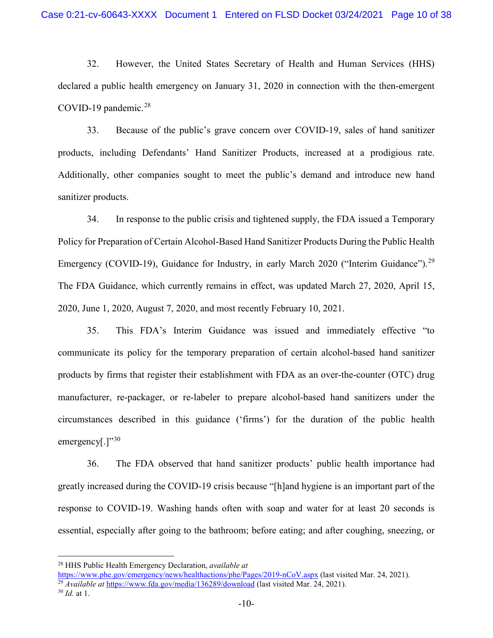32. However, the United States Secretary of Health and Human Services (HHS) declared a public health emergency on January 31, 2020 in connection with the then-emergent COVID-19 pandemic. $28$ 

33. Because of the public's grave concern over COVID-19, sales of hand sanitizer products, including Defendants' Hand Sanitizer Products, increased at a prodigious rate. Additionally, other companies sought to meet the public's demand and introduce new hand sanitizer products.

34. In response to the public crisis and tightened supply, the FDA issued a Temporary Policy for Preparation of Certain Alcohol-Based Hand Sanitizer Products During the Public Health Emergency (COVID-19), Guidance for Industry, in early March 2020 ("Interim Guidance").<sup>[29](#page-9-1)</sup> The FDA Guidance, which currently remains in effect, was updated March 27, 2020, April 15, 2020, June 1, 2020, August 7, 2020, and most recently February 10, 2021.

35. This FDA's Interim Guidance was issued and immediately effective "to communicate its policy for the temporary preparation of certain alcohol-based hand sanitizer products by firms that register their establishment with FDA as an over-the-counter (OTC) drug manufacturer, re-packager, or re-labeler to prepare alcohol-based hand sanitizers under the circumstances described in this guidance ('firms') for the duration of the public health emergency[.] $"30$  $"30$ 

36. The FDA observed that hand sanitizer products' public health importance had greatly increased during the COVID-19 crisis because "[h]and hygiene is an important part of the response to COVID-19. Washing hands often with soap and water for at least 20 seconds is essential, especially after going to the bathroom; before eating; and after coughing, sneezing, or

<span id="page-9-0"></span> <sup>28</sup> HHS Public Health Emergency Declaration, *available at* 

<span id="page-9-2"></span><span id="page-9-1"></span><https://www.phe.gov/emergency/news/healthactions/phe/Pages/2019-nCoV.aspx> (last visited Mar. 24, 2021). <sup>29</sup> *Available at* <https://www.fda.gov/media/136289/download> (last visited Mar. 24, 2021). <sup>30</sup> *Id.* at 1.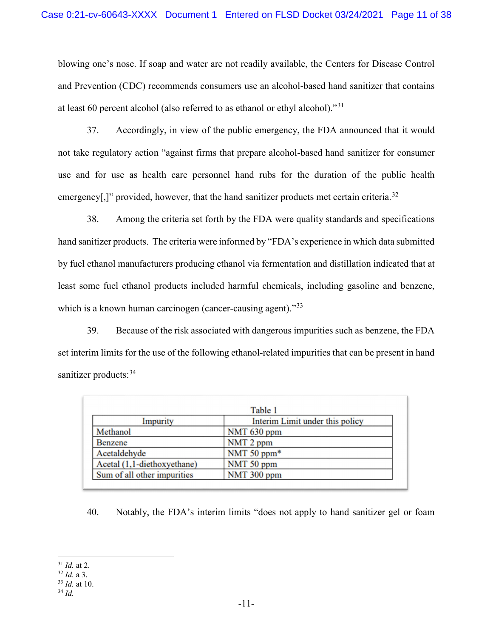blowing one's nose. If soap and water are not readily available, the Centers for Disease Control and Prevention (CDC) recommends consumers use an alcohol-based hand sanitizer that contains at least 60 percent alcohol (also referred to as ethanol or ethyl alcohol)."[31](#page-10-0)

37. Accordingly, in view of the public emergency, the FDA announced that it would not take regulatory action "against firms that prepare alcohol-based hand sanitizer for consumer use and for use as health care personnel hand rubs for the duration of the public health emergency[,]" provided, however, that the hand sanitizer products met certain criteria.<sup>[32](#page-10-1)</sup>

38. Among the criteria set forth by the FDA were quality standards and specifications hand sanitizer products. The criteria were informed by "FDA's experience in which data submitted by fuel ethanol manufacturers producing ethanol via fermentation and distillation indicated that at least some fuel ethanol products included harmful chemicals, including gasoline and benzene, which is a known human carcinogen (cancer-causing agent)."<sup>[33](#page-10-2)</sup>

39. Because of the risk associated with dangerous impurities such as benzene, the FDA set interim limits for the use of the following ethanol-related impurities that can be present in hand sanitizer products: [34](#page-10-3)

| Table 1                     |                                 |
|-----------------------------|---------------------------------|
| Impurity                    | Interim Limit under this policy |
| Methanol                    | NMT 630 ppm                     |
| <b>Benzene</b>              | NMT <sub>2</sub> ppm            |
| Acetaldehyde                | NMT 50 ppm*                     |
| Acetal (1,1-diethoxyethane) | NMT 50 ppm                      |
| Sum of all other impurities | NMT 300 ppm                     |

40. Notably, the FDA's interim limits "does not apply to hand sanitizer gel or foam

<span id="page-10-0"></span> <sup>31</sup> *Id.* at 2.

<span id="page-10-1"></span><sup>32</sup> *Id.* a 3.

<span id="page-10-2"></span><sup>33</sup> *Id.* at 10.

<span id="page-10-3"></span><sup>34</sup> *Id.*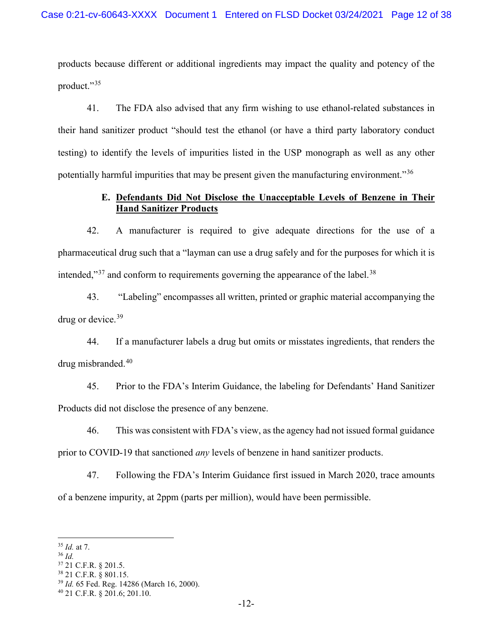products because different or additional ingredients may impact the quality and potency of the product."<sup>[35](#page-11-0)</sup>

41. The FDA also advised that any firm wishing to use ethanol-related substances in their hand sanitizer product "should test the ethanol (or have a third party laboratory conduct testing) to identify the levels of impurities listed in the USP monograph as well as any other potentially harmful impurities that may be present given the manufacturing environment.<sup>356</sup>

# **E. Defendants Did Not Disclose the Unacceptable Levels of Benzene in Their Hand Sanitizer Products**

42. A manufacturer is required to give adequate directions for the use of a pharmaceutical drug such that a "layman can use a drug safely and for the purposes for which it is intended," $37$  and conform to requirements governing the appearance of the label. $38$ 

43. "Labeling" encompasses all written, printed or graphic material accompanying the drug or device.<sup>[39](#page-11-4)</sup>

44. If a manufacturer labels a drug but omits or misstates ingredients, that renders the drug misbranded.[40](#page-11-5)

45. Prior to the FDA's Interim Guidance, the labeling for Defendants' Hand Sanitizer Products did not disclose the presence of any benzene.

46. This was consistent with FDA's view, as the agency had not issued formal guidance prior to COVID-19 that sanctioned *any* levels of benzene in hand sanitizer products.

47. Following the FDA's Interim Guidance first issued in March 2020, trace amounts of a benzene impurity, at 2ppm (parts per million), would have been permissible.

- <span id="page-11-2"></span><sup>37</sup> 21 C.F.R. § 201.5.
- <span id="page-11-3"></span><sup>38</sup> 21 C.F.R. § 801.15.

<span id="page-11-0"></span> <sup>35</sup> *Id.* at 7.

<span id="page-11-1"></span><sup>36</sup> *Id.*

<span id="page-11-4"></span><sup>39</sup> *Id.* 65 Fed. Reg. 14286 (March 16, 2000).

<span id="page-11-5"></span><sup>40</sup> 21 C.F.R. § 201.6; 201.10.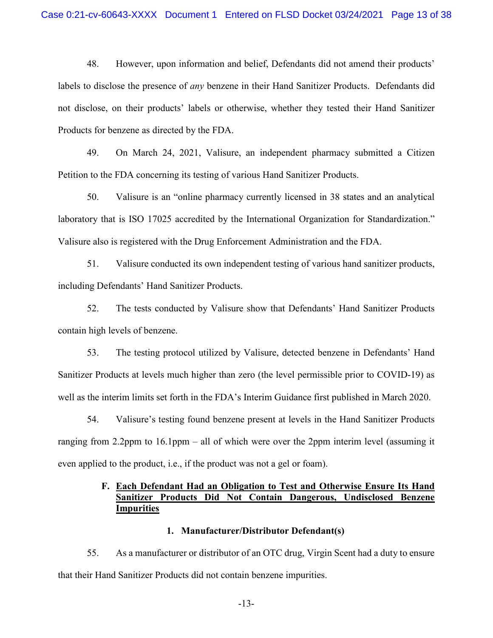48. However, upon information and belief, Defendants did not amend their products' labels to disclose the presence of *any* benzene in their Hand Sanitizer Products. Defendants did not disclose, on their products' labels or otherwise, whether they tested their Hand Sanitizer Products for benzene as directed by the FDA.

49. On March 24, 2021, Valisure, an independent pharmacy submitted a Citizen Petition to the FDA concerning its testing of various Hand Sanitizer Products.

50. Valisure is an "online pharmacy currently licensed in 38 states and an analytical laboratory that is ISO 17025 accredited by the International Organization for Standardization." Valisure also is registered with the Drug Enforcement Administration and the FDA.

51. Valisure conducted its own independent testing of various hand sanitizer products, including Defendants' Hand Sanitizer Products.

52. The tests conducted by Valisure show that Defendants' Hand Sanitizer Products contain high levels of benzene.

53. The testing protocol utilized by Valisure, detected benzene in Defendants' Hand Sanitizer Products at levels much higher than zero (the level permissible prior to COVID-19) as well as the interim limits set forth in the FDA's Interim Guidance first published in March 2020.

54. Valisure's testing found benzene present at levels in the Hand Sanitizer Products ranging from 2.2ppm to 16.1ppm – all of which were over the 2ppm interim level (assuming it even applied to the product, i.e., if the product was not a gel or foam).

# **F. Each Defendant Had an Obligation to Test and Otherwise Ensure Its Hand Sanitizer Products Did Not Contain Dangerous, Undisclosed Benzene Impurities**

## **1. Manufacturer/Distributor Defendant(s)**

55. As a manufacturer or distributor of an OTC drug, Virgin Scent had a duty to ensure that their Hand Sanitizer Products did not contain benzene impurities.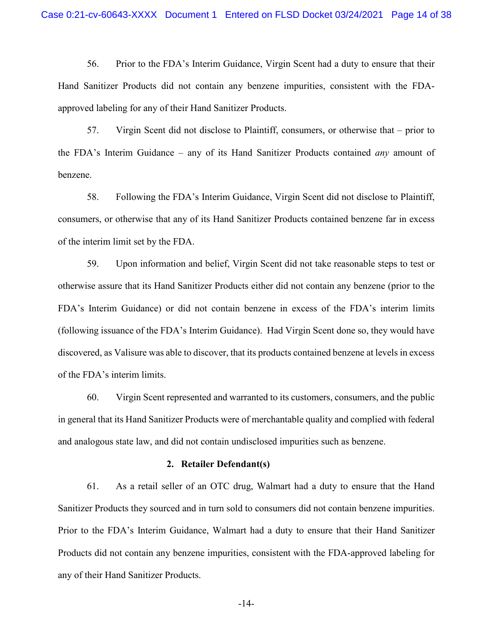56. Prior to the FDA's Interim Guidance, Virgin Scent had a duty to ensure that their Hand Sanitizer Products did not contain any benzene impurities, consistent with the FDAapproved labeling for any of their Hand Sanitizer Products.

57. Virgin Scent did not disclose to Plaintiff, consumers, or otherwise that – prior to the FDA's Interim Guidance – any of its Hand Sanitizer Products contained *any* amount of benzene.

58. Following the FDA's Interim Guidance, Virgin Scent did not disclose to Plaintiff, consumers, or otherwise that any of its Hand Sanitizer Products contained benzene far in excess of the interim limit set by the FDA.

59. Upon information and belief, Virgin Scent did not take reasonable steps to test or otherwise assure that its Hand Sanitizer Products either did not contain any benzene (prior to the FDA's Interim Guidance) or did not contain benzene in excess of the FDA's interim limits (following issuance of the FDA's Interim Guidance). Had Virgin Scent done so, they would have discovered, as Valisure was able to discover, that its products contained benzene at levels in excess of the FDA's interim limits.

60. Virgin Scent represented and warranted to its customers, consumers, and the public in general that its Hand Sanitizer Products were of merchantable quality and complied with federal and analogous state law, and did not contain undisclosed impurities such as benzene.

#### **2. Retailer Defendant(s)**

61. As a retail seller of an OTC drug, Walmart had a duty to ensure that the Hand Sanitizer Products they sourced and in turn sold to consumers did not contain benzene impurities. Prior to the FDA's Interim Guidance, Walmart had a duty to ensure that their Hand Sanitizer Products did not contain any benzene impurities, consistent with the FDA-approved labeling for any of their Hand Sanitizer Products.

-14-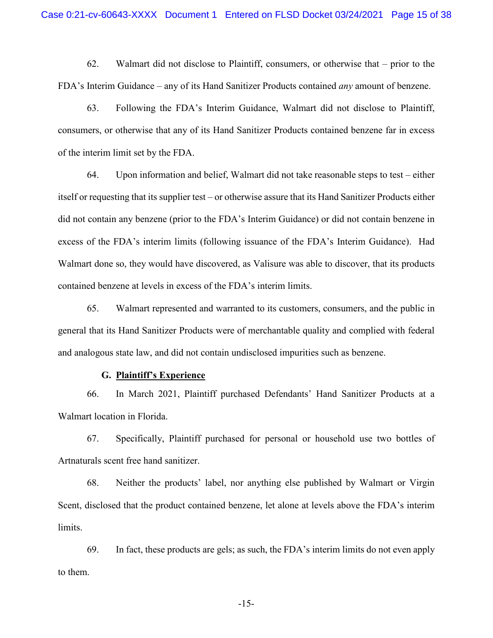62. Walmart did not disclose to Plaintiff, consumers, or otherwise that – prior to the FDA's Interim Guidance – any of its Hand Sanitizer Products contained *any* amount of benzene.

63. Following the FDA's Interim Guidance, Walmart did not disclose to Plaintiff, consumers, or otherwise that any of its Hand Sanitizer Products contained benzene far in excess of the interim limit set by the FDA.

64. Upon information and belief, Walmart did not take reasonable steps to test – either itself or requesting that its supplier test – or otherwise assure that its Hand Sanitizer Products either did not contain any benzene (prior to the FDA's Interim Guidance) or did not contain benzene in excess of the FDA's interim limits (following issuance of the FDA's Interim Guidance). Had Walmart done so, they would have discovered, as Valisure was able to discover, that its products contained benzene at levels in excess of the FDA's interim limits.

65. Walmart represented and warranted to its customers, consumers, and the public in general that its Hand Sanitizer Products were of merchantable quality and complied with federal and analogous state law, and did not contain undisclosed impurities such as benzene.

## **G. Plaintiff's Experience**

66. In March 2021, Plaintiff purchased Defendants' Hand Sanitizer Products at a Walmart location in Florida.

67. Specifically, Plaintiff purchased for personal or household use two bottles of Artnaturals scent free hand sanitizer.

68. Neither the products' label, nor anything else published by Walmart or Virgin Scent, disclosed that the product contained benzene, let alone at levels above the FDA's interim limits.

69. In fact, these products are gels; as such, the FDA's interim limits do not even apply to them.

-15-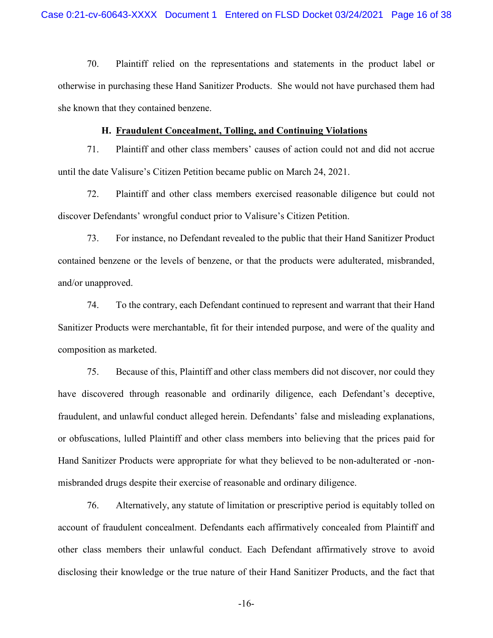70. Plaintiff relied on the representations and statements in the product label or otherwise in purchasing these Hand Sanitizer Products. She would not have purchased them had she known that they contained benzene.

#### **H. Fraudulent Concealment, Tolling, and Continuing Violations**

71. Plaintiff and other class members' causes of action could not and did not accrue until the date Valisure's Citizen Petition became public on March 24, 2021.

72. Plaintiff and other class members exercised reasonable diligence but could not discover Defendants' wrongful conduct prior to Valisure's Citizen Petition.

73. For instance, no Defendant revealed to the public that their Hand Sanitizer Product contained benzene or the levels of benzene, or that the products were adulterated, misbranded, and/or unapproved.

74. To the contrary, each Defendant continued to represent and warrant that their Hand Sanitizer Products were merchantable, fit for their intended purpose, and were of the quality and composition as marketed.

75. Because of this, Plaintiff and other class members did not discover, nor could they have discovered through reasonable and ordinarily diligence, each Defendant's deceptive, fraudulent, and unlawful conduct alleged herein. Defendants' false and misleading explanations, or obfuscations, lulled Plaintiff and other class members into believing that the prices paid for Hand Sanitizer Products were appropriate for what they believed to be non-adulterated or -nonmisbranded drugs despite their exercise of reasonable and ordinary diligence.

76. Alternatively, any statute of limitation or prescriptive period is equitably tolled on account of fraudulent concealment. Defendants each affirmatively concealed from Plaintiff and other class members their unlawful conduct. Each Defendant affirmatively strove to avoid disclosing their knowledge or the true nature of their Hand Sanitizer Products, and the fact that

-16-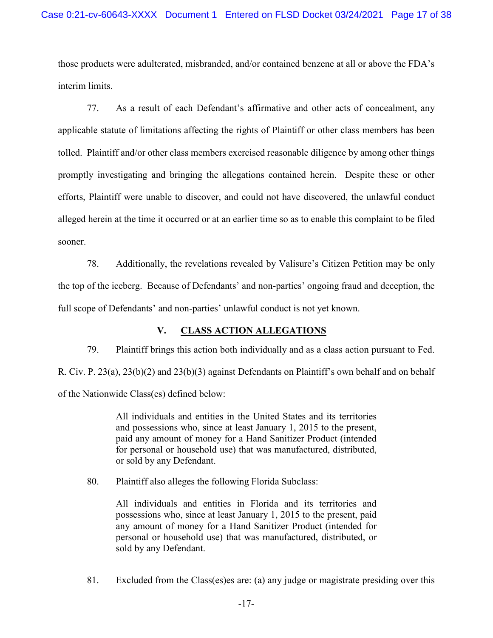those products were adulterated, misbranded, and/or contained benzene at all or above the FDA's interim limits.

77. As a result of each Defendant's affirmative and other acts of concealment, any applicable statute of limitations affecting the rights of Plaintiff or other class members has been tolled. Plaintiff and/or other class members exercised reasonable diligence by among other things promptly investigating and bringing the allegations contained herein. Despite these or other efforts, Plaintiff were unable to discover, and could not have discovered, the unlawful conduct alleged herein at the time it occurred or at an earlier time so as to enable this complaint to be filed sooner.

78. Additionally, the revelations revealed by Valisure's Citizen Petition may be only the top of the iceberg. Because of Defendants' and non-parties' ongoing fraud and deception, the full scope of Defendants' and non-parties' unlawful conduct is not yet known.

# **V. CLASS ACTION ALLEGATIONS**

79. Plaintiff brings this action both individually and as a class action pursuant to Fed. R. Civ. P. 23(a), 23(b)(2) and 23(b)(3) against Defendants on Plaintiff's own behalf and on behalf of the Nationwide Class(es) defined below:

> All individuals and entities in the United States and its territories and possessions who, since at least January 1, 2015 to the present, paid any amount of money for a Hand Sanitizer Product (intended for personal or household use) that was manufactured, distributed, or sold by any Defendant.

80. Plaintiff also alleges the following Florida Subclass:

All individuals and entities in Florida and its territories and possessions who, since at least January 1, 2015 to the present, paid any amount of money for a Hand Sanitizer Product (intended for personal or household use) that was manufactured, distributed, or sold by any Defendant.

81. Excluded from the Class(es)es are: (a) any judge or magistrate presiding over this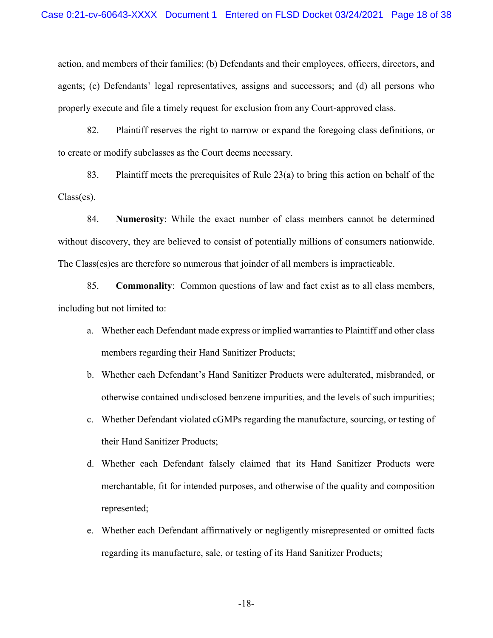action, and members of their families; (b) Defendants and their employees, officers, directors, and agents; (c) Defendants' legal representatives, assigns and successors; and (d) all persons who properly execute and file a timely request for exclusion from any Court-approved class.

82. Plaintiff reserves the right to narrow or expand the foregoing class definitions, or to create or modify subclasses as the Court deems necessary.

83. Plaintiff meets the prerequisites of Rule 23(a) to bring this action on behalf of the Class(es).

84. **Numerosity**: While the exact number of class members cannot be determined without discovery, they are believed to consist of potentially millions of consumers nationwide. The Class(es)es are therefore so numerous that joinder of all members is impracticable.

85. **Commonality**: Common questions of law and fact exist as to all class members, including but not limited to:

- a. Whether each Defendant made express or implied warranties to Plaintiff and other class members regarding their Hand Sanitizer Products;
- b. Whether each Defendant's Hand Sanitizer Products were adulterated, misbranded, or otherwise contained undisclosed benzene impurities, and the levels of such impurities;
- c. Whether Defendant violated cGMPs regarding the manufacture, sourcing, or testing of their Hand Sanitizer Products;
- d. Whether each Defendant falsely claimed that its Hand Sanitizer Products were merchantable, fit for intended purposes, and otherwise of the quality and composition represented;
- e. Whether each Defendant affirmatively or negligently misrepresented or omitted facts regarding its manufacture, sale, or testing of its Hand Sanitizer Products;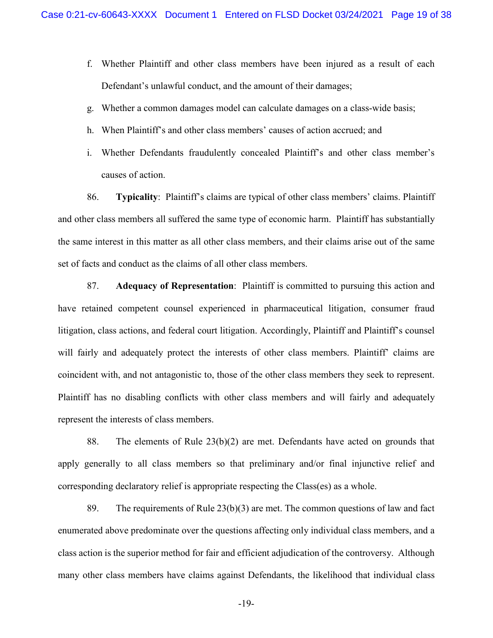- f. Whether Plaintiff and other class members have been injured as a result of each Defendant's unlawful conduct, and the amount of their damages;
- g. Whether a common damages model can calculate damages on a class-wide basis;
- h. When Plaintiff's and other class members' causes of action accrued; and
- i. Whether Defendants fraudulently concealed Plaintiff's and other class member's causes of action.

86. **Typicality**: Plaintiff's claims are typical of other class members' claims. Plaintiff and other class members all suffered the same type of economic harm. Plaintiff has substantially the same interest in this matter as all other class members, and their claims arise out of the same set of facts and conduct as the claims of all other class members.

87. **Adequacy of Representation**: Plaintiff is committed to pursuing this action and have retained competent counsel experienced in pharmaceutical litigation, consumer fraud litigation, class actions, and federal court litigation. Accordingly, Plaintiff and Plaintiff's counsel will fairly and adequately protect the interests of other class members. Plaintiff' claims are coincident with, and not antagonistic to, those of the other class members they seek to represent. Plaintiff has no disabling conflicts with other class members and will fairly and adequately represent the interests of class members.

88. The elements of Rule 23(b)(2) are met. Defendants have acted on grounds that apply generally to all class members so that preliminary and/or final injunctive relief and corresponding declaratory relief is appropriate respecting the Class(es) as a whole.

89. The requirements of Rule  $23(b)(3)$  are met. The common questions of law and fact enumerated above predominate over the questions affecting only individual class members, and a class action is the superior method for fair and efficient adjudication of the controversy. Although many other class members have claims against Defendants, the likelihood that individual class

-19-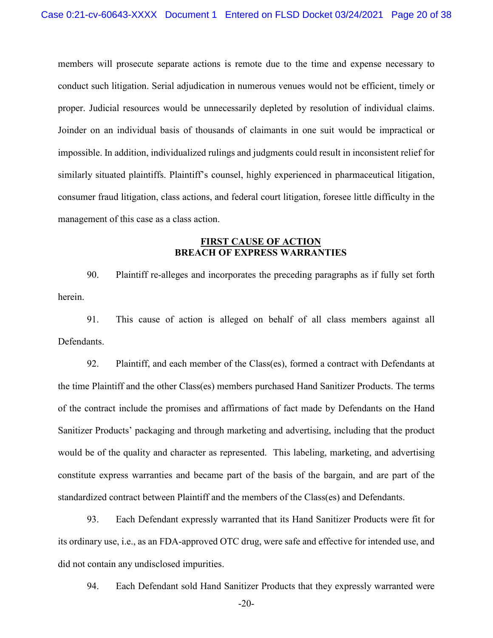members will prosecute separate actions is remote due to the time and expense necessary to conduct such litigation. Serial adjudication in numerous venues would not be efficient, timely or proper. Judicial resources would be unnecessarily depleted by resolution of individual claims. Joinder on an individual basis of thousands of claimants in one suit would be impractical or impossible. In addition, individualized rulings and judgments could result in inconsistent relief for similarly situated plaintiffs. Plaintiff's counsel, highly experienced in pharmaceutical litigation, consumer fraud litigation, class actions, and federal court litigation, foresee little difficulty in the management of this case as a class action.

# **FIRST CAUSE OF ACTION BREACH OF EXPRESS WARRANTIES**

90. Plaintiff re-alleges and incorporates the preceding paragraphs as if fully set forth herein.

91. This cause of action is alleged on behalf of all class members against all Defendants.

92. Plaintiff, and each member of the Class(es), formed a contract with Defendants at the time Plaintiff and the other Class(es) members purchased Hand Sanitizer Products. The terms of the contract include the promises and affirmations of fact made by Defendants on the Hand Sanitizer Products' packaging and through marketing and advertising, including that the product would be of the quality and character as represented. This labeling, marketing, and advertising constitute express warranties and became part of the basis of the bargain, and are part of the standardized contract between Plaintiff and the members of the Class(es) and Defendants.

93. Each Defendant expressly warranted that its Hand Sanitizer Products were fit for its ordinary use, i.e., as an FDA-approved OTC drug, were safe and effective for intended use, and did not contain any undisclosed impurities.

94. Each Defendant sold Hand Sanitizer Products that they expressly warranted were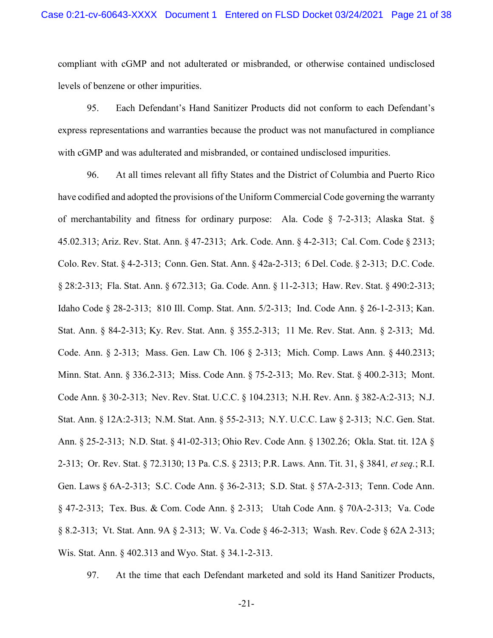compliant with cGMP and not adulterated or misbranded, or otherwise contained undisclosed levels of benzene or other impurities.

95. Each Defendant's Hand Sanitizer Products did not conform to each Defendant's express representations and warranties because the product was not manufactured in compliance with cGMP and was adulterated and misbranded, or contained undisclosed impurities.

96. At all times relevant all fifty States and the District of Columbia and Puerto Rico have codified and adopted the provisions of the Uniform Commercial Code governing the warranty of merchantability and fitness for ordinary purpose: Ala. Code § 7-2-313; Alaska Stat. § 45.02.313; Ariz. Rev. Stat. Ann. § 47-2313; Ark. Code. Ann. § 4-2-313; Cal. Com. Code § 2313; Colo. Rev. Stat. § 4-2-313; Conn. Gen. Stat. Ann. § 42a-2-313; 6 Del. Code. § 2-313; D.C. Code. § 28:2-313; Fla. Stat. Ann. § 672.313; Ga. Code. Ann. § 11-2-313; Haw. Rev. Stat. § 490:2-313; Idaho Code § 28-2-313; 810 Ill. Comp. Stat. Ann. 5/2-313; Ind. Code Ann. § 26-1-2-313; Kan. Stat. Ann. § 84-2-313; Ky. Rev. Stat. Ann. § 355.2-313; 11 Me. Rev. Stat. Ann. § 2-313; Md. Code. Ann. § 2-313; Mass. Gen. Law Ch. 106 § 2-313; Mich. Comp. Laws Ann. § 440.2313; Minn. Stat. Ann. § 336.2-313; Miss. Code Ann. § 75-2-313; Mo. Rev. Stat. § 400.2-313; Mont. Code Ann. § 30-2-313; Nev. Rev. Stat. U.C.C. § 104.2313; N.H. Rev. Ann. § 382-A:2-313; N.J. Stat. Ann. § 12A:2-313; N.M. Stat. Ann. § 55-2-313; N.Y. U.C.C. Law § 2-313; N.C. Gen. Stat. Ann. § 25-2-313; N.D. Stat. § 41-02-313; Ohio Rev. Code Ann. § 1302.26; Okla. Stat. tit. 12A § 2-313; Or. Rev. Stat. § 72.3130; 13 Pa. C.S. § 2313; P.R. Laws. Ann. Tit. 31, § 3841*, et seq.*; R.I. Gen. Laws § 6A-2-313; S.C. Code Ann. § 36-2-313; S.D. Stat. § 57A-2-313; Tenn. Code Ann. § 47-2-313; Tex. Bus. & Com. Code Ann. § 2-313; Utah Code Ann. § 70A-2-313; Va. Code § 8.2-313; Vt. Stat. Ann. 9A § 2-313; W. Va. Code § 46-2-313; Wash. Rev. Code § 62A 2-313; Wis. Stat. Ann. § 402.313 and Wyo. Stat. § 34.1-2-313.

97. At the time that each Defendant marketed and sold its Hand Sanitizer Products,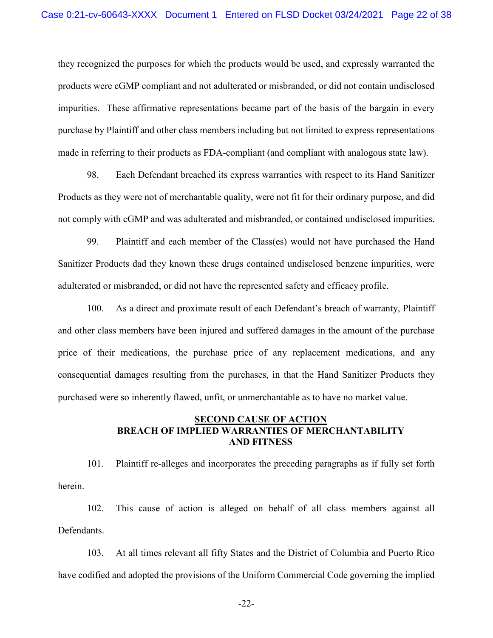they recognized the purposes for which the products would be used, and expressly warranted the products were cGMP compliant and not adulterated or misbranded, or did not contain undisclosed impurities. These affirmative representations became part of the basis of the bargain in every purchase by Plaintiff and other class members including but not limited to express representations made in referring to their products as FDA-compliant (and compliant with analogous state law).

98. Each Defendant breached its express warranties with respect to its Hand Sanitizer Products as they were not of merchantable quality, were not fit for their ordinary purpose, and did not comply with cGMP and was adulterated and misbranded, or contained undisclosed impurities.

99. Plaintiff and each member of the Class(es) would not have purchased the Hand Sanitizer Products dad they known these drugs contained undisclosed benzene impurities, were adulterated or misbranded, or did not have the represented safety and efficacy profile.

100. As a direct and proximate result of each Defendant's breach of warranty, Plaintiff and other class members have been injured and suffered damages in the amount of the purchase price of their medications, the purchase price of any replacement medications, and any consequential damages resulting from the purchases, in that the Hand Sanitizer Products they purchased were so inherently flawed, unfit, or unmerchantable as to have no market value.

# **SECOND CAUSE OF ACTION BREACH OF IMPLIED WARRANTIES OF MERCHANTABILITY AND FITNESS**

101. Plaintiff re-alleges and incorporates the preceding paragraphs as if fully set forth herein.

102. This cause of action is alleged on behalf of all class members against all Defendants.

103. At all times relevant all fifty States and the District of Columbia and Puerto Rico have codified and adopted the provisions of the Uniform Commercial Code governing the implied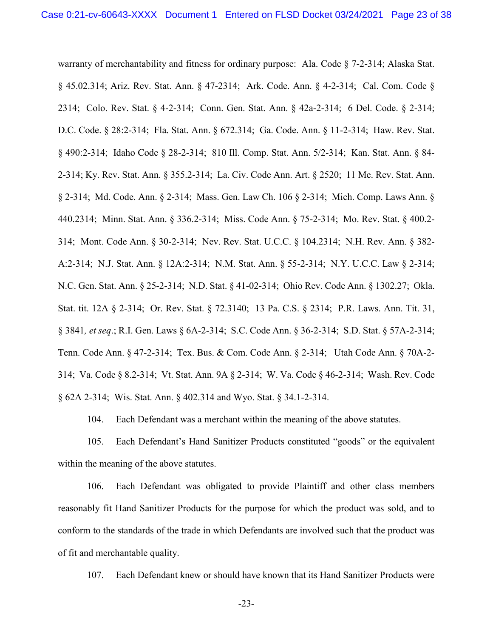warranty of merchantability and fitness for ordinary purpose: Ala. Code § 7-2-314; Alaska Stat. § 45.02.314; Ariz. Rev. Stat. Ann. § 47-2314; Ark. Code. Ann. § 4-2-314; Cal. Com. Code § 2314; Colo. Rev. Stat. § 4-2-314; Conn. Gen. Stat. Ann. § 42a-2-314; 6 Del. Code. § 2-314; D.C. Code. § 28:2-314; Fla. Stat. Ann. § 672.314; Ga. Code. Ann. § 11-2-314; Haw. Rev. Stat. § 490:2-314; Idaho Code § 28-2-314; 810 Ill. Comp. Stat. Ann. 5/2-314; Kan. Stat. Ann. § 84- 2-314; Ky. Rev. Stat. Ann. § 355.2-314; La. Civ. Code Ann. Art. § 2520; 11 Me. Rev. Stat. Ann. § 2-314; Md. Code. Ann. § 2-314; Mass. Gen. Law Ch. 106 § 2-314; Mich. Comp. Laws Ann. § 440.2314; Minn. Stat. Ann. § 336.2-314; Miss. Code Ann. § 75-2-314; Mo. Rev. Stat. § 400.2- 314; Mont. Code Ann. § 30-2-314; Nev. Rev. Stat. U.C.C. § 104.2314; N.H. Rev. Ann. § 382- A:2-314; N.J. Stat. Ann. § 12A:2-314; N.M. Stat. Ann. § 55-2-314; N.Y. U.C.C. Law § 2-314; N.C. Gen. Stat. Ann. § 25-2-314; N.D. Stat. § 41-02-314; Ohio Rev. Code Ann. § 1302.27; Okla. Stat. tit. 12A § 2-314; Or. Rev. Stat. § 72.3140; 13 Pa. C.S. § 2314; P.R. Laws. Ann. Tit. 31, § 3841*, et seq*.; R.I. Gen. Laws § 6A-2-314; S.C. Code Ann. § 36-2-314; S.D. Stat. § 57A-2-314; Tenn. Code Ann. § 47-2-314; Tex. Bus. & Com. Code Ann. § 2-314; Utah Code Ann. § 70A-2- 314; Va. Code § 8.2-314; Vt. Stat. Ann. 9A § 2-314; W. Va. Code § 46-2-314; Wash. Rev. Code § 62A 2-314; Wis. Stat. Ann. § 402.314 and Wyo. Stat. § 34.1-2-314.

104. Each Defendant was a merchant within the meaning of the above statutes.

105. Each Defendant's Hand Sanitizer Products constituted "goods" or the equivalent within the meaning of the above statutes.

106. Each Defendant was obligated to provide Plaintiff and other class members reasonably fit Hand Sanitizer Products for the purpose for which the product was sold, and to conform to the standards of the trade in which Defendants are involved such that the product was of fit and merchantable quality.

107. Each Defendant knew or should have known that its Hand Sanitizer Products were

-23-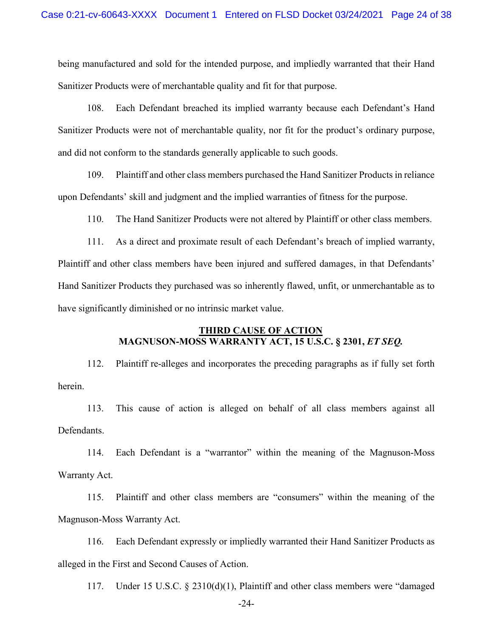being manufactured and sold for the intended purpose, and impliedly warranted that their Hand Sanitizer Products were of merchantable quality and fit for that purpose.

108. Each Defendant breached its implied warranty because each Defendant's Hand Sanitizer Products were not of merchantable quality, nor fit for the product's ordinary purpose, and did not conform to the standards generally applicable to such goods.

109. Plaintiff and other class members purchased the Hand Sanitizer Products in reliance upon Defendants' skill and judgment and the implied warranties of fitness for the purpose.

110. The Hand Sanitizer Products were not altered by Plaintiff or other class members.

111. As a direct and proximate result of each Defendant's breach of implied warranty, Plaintiff and other class members have been injured and suffered damages, in that Defendants' Hand Sanitizer Products they purchased was so inherently flawed, unfit, or unmerchantable as to have significantly diminished or no intrinsic market value.

# **THIRD CAUSE OF ACTION MAGNUSON-MOSS WARRANTY ACT, 15 U.S.C. § 2301,** *ET SEQ.*

112. Plaintiff re-alleges and incorporates the preceding paragraphs as if fully set forth herein.

113. This cause of action is alleged on behalf of all class members against all Defendants.

114. Each Defendant is a "warrantor" within the meaning of the Magnuson-Moss Warranty Act.

115. Plaintiff and other class members are "consumers" within the meaning of the Magnuson-Moss Warranty Act.

116. Each Defendant expressly or impliedly warranted their Hand Sanitizer Products as alleged in the First and Second Causes of Action.

117. Under 15 U.S.C. § 2310(d)(1), Plaintiff and other class members were "damaged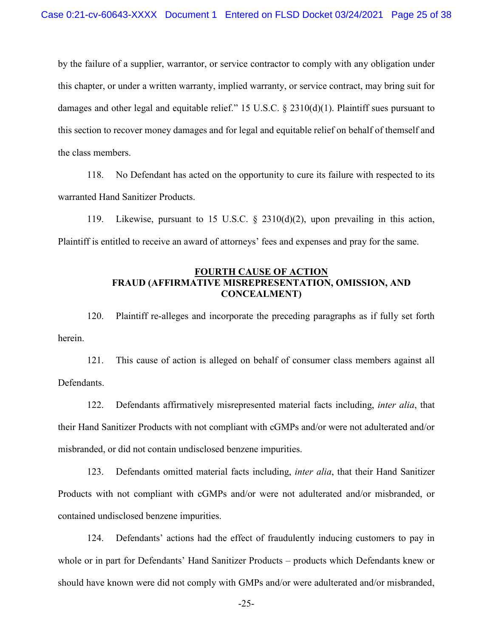by the failure of a supplier, warrantor, or service contractor to comply with any obligation under this chapter, or under a written warranty, implied warranty, or service contract, may bring suit for damages and other legal and equitable relief." 15 U.S.C. § 2310(d)(1). Plaintiff sues pursuant to this section to recover money damages and for legal and equitable relief on behalf of themself and the class members.

118. No Defendant has acted on the opportunity to cure its failure with respected to its warranted Hand Sanitizer Products.

119. Likewise, pursuant to 15 U.S.C. § 2310(d)(2), upon prevailing in this action, Plaintiff is entitled to receive an award of attorneys' fees and expenses and pray for the same.

# **FOURTH CAUSE OF ACTION FRAUD (AFFIRMATIVE MISREPRESENTATION, OMISSION, AND CONCEALMENT)**

120. Plaintiff re-alleges and incorporate the preceding paragraphs as if fully set forth herein.

121. This cause of action is alleged on behalf of consumer class members against all Defendants.

122. Defendants affirmatively misrepresented material facts including, *inter alia*, that their Hand Sanitizer Products with not compliant with cGMPs and/or were not adulterated and/or misbranded, or did not contain undisclosed benzene impurities.

123. Defendants omitted material facts including, *inter alia*, that their Hand Sanitizer Products with not compliant with cGMPs and/or were not adulterated and/or misbranded, or contained undisclosed benzene impurities.

124. Defendants' actions had the effect of fraudulently inducing customers to pay in whole or in part for Defendants' Hand Sanitizer Products – products which Defendants knew or should have known were did not comply with GMPs and/or were adulterated and/or misbranded,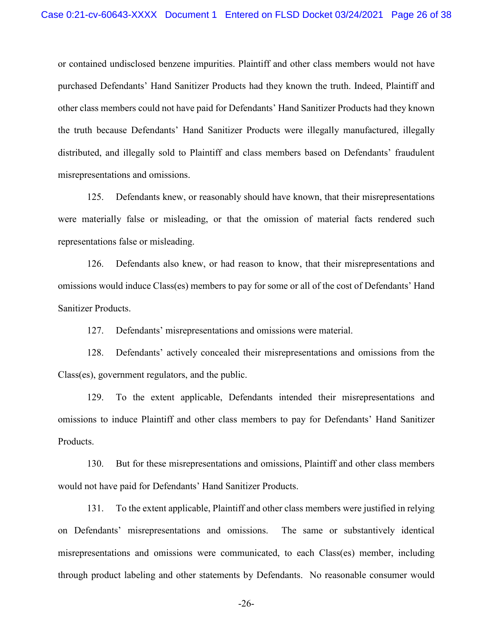or contained undisclosed benzene impurities. Plaintiff and other class members would not have purchased Defendants' Hand Sanitizer Products had they known the truth. Indeed, Plaintiff and other class members could not have paid for Defendants' Hand Sanitizer Products had they known the truth because Defendants' Hand Sanitizer Products were illegally manufactured, illegally distributed, and illegally sold to Plaintiff and class members based on Defendants' fraudulent misrepresentations and omissions.

125. Defendants knew, or reasonably should have known, that their misrepresentations were materially false or misleading, or that the omission of material facts rendered such representations false or misleading.

126. Defendants also knew, or had reason to know, that their misrepresentations and omissions would induce Class(es) members to pay for some or all of the cost of Defendants' Hand Sanitizer Products.

127. Defendants' misrepresentations and omissions were material.

128. Defendants' actively concealed their misrepresentations and omissions from the Class(es), government regulators, and the public.

129. To the extent applicable, Defendants intended their misrepresentations and omissions to induce Plaintiff and other class members to pay for Defendants' Hand Sanitizer Products.

130. But for these misrepresentations and omissions, Plaintiff and other class members would not have paid for Defendants' Hand Sanitizer Products.

131. To the extent applicable, Plaintiff and other class members were justified in relying on Defendants' misrepresentations and omissions. The same or substantively identical misrepresentations and omissions were communicated, to each Class(es) member, including through product labeling and other statements by Defendants. No reasonable consumer would

-26-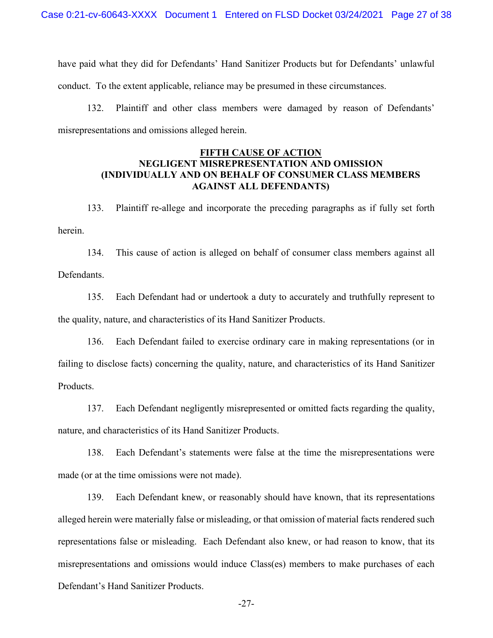have paid what they did for Defendants' Hand Sanitizer Products but for Defendants' unlawful conduct. To the extent applicable, reliance may be presumed in these circumstances.

132. Plaintiff and other class members were damaged by reason of Defendants' misrepresentations and omissions alleged herein.

# **FIFTH CAUSE OF ACTION NEGLIGENT MISREPRESENTATION AND OMISSION (INDIVIDUALLY AND ON BEHALF OF CONSUMER CLASS MEMBERS AGAINST ALL DEFENDANTS)**

133. Plaintiff re-allege and incorporate the preceding paragraphs as if fully set forth herein.

134. This cause of action is alleged on behalf of consumer class members against all Defendants.

135. Each Defendant had or undertook a duty to accurately and truthfully represent to the quality, nature, and characteristics of its Hand Sanitizer Products.

136. Each Defendant failed to exercise ordinary care in making representations (or in failing to disclose facts) concerning the quality, nature, and characteristics of its Hand Sanitizer Products.

137. Each Defendant negligently misrepresented or omitted facts regarding the quality, nature, and characteristics of its Hand Sanitizer Products.

138. Each Defendant's statements were false at the time the misrepresentations were made (or at the time omissions were not made).

139. Each Defendant knew, or reasonably should have known, that its representations alleged herein were materially false or misleading, or that omission of material facts rendered such representations false or misleading. Each Defendant also knew, or had reason to know, that its misrepresentations and omissions would induce Class(es) members to make purchases of each Defendant's Hand Sanitizer Products.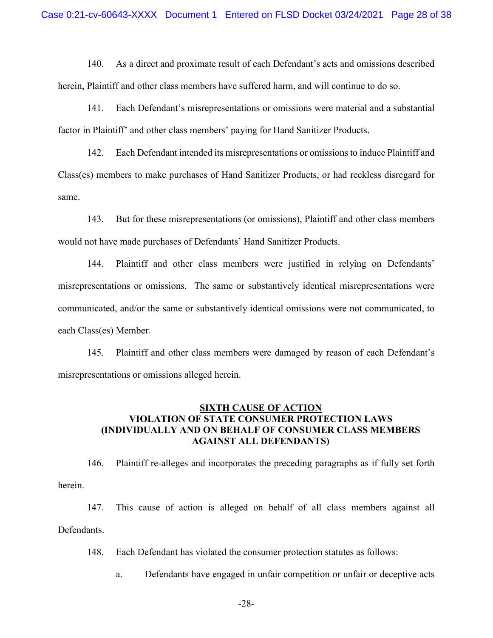140. As a direct and proximate result of each Defendant's acts and omissions described herein, Plaintiff and other class members have suffered harm, and will continue to do so.

141. Each Defendant's misrepresentations or omissions were material and a substantial factor in Plaintiff' and other class members' paying for Hand Sanitizer Products.

142. Each Defendant intended its misrepresentations or omissions to induce Plaintiff and Class(es) members to make purchases of Hand Sanitizer Products, or had reckless disregard for same.

143. But for these misrepresentations (or omissions), Plaintiff and other class members would not have made purchases of Defendants' Hand Sanitizer Products.

144. Plaintiff and other class members were justified in relying on Defendants' misrepresentations or omissions. The same or substantively identical misrepresentations were communicated, and/or the same or substantively identical omissions were not communicated, to each Class(es) Member.

145. Plaintiff and other class members were damaged by reason of each Defendant's misrepresentations or omissions alleged herein.

# **SIXTH CAUSE OF ACTION VIOLATION OF STATE CONSUMER PROTECTION LAWS (INDIVIDUALLY AND ON BEHALF OF CONSUMER CLASS MEMBERS AGAINST ALL DEFENDANTS)**

146. Plaintiff re-alleges and incorporates the preceding paragraphs as if fully set forth herein.

147. This cause of action is alleged on behalf of all class members against all Defendants.

148. Each Defendant has violated the consumer protection statutes as follows:

a. Defendants have engaged in unfair competition or unfair or deceptive acts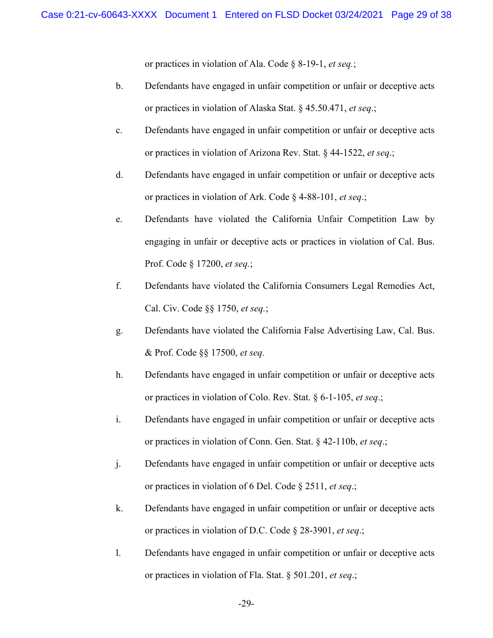or practices in violation of Ala. Code § 8-19-1, *et seq.*;

- b. Defendants have engaged in unfair competition or unfair or deceptive acts or practices in violation of Alaska Stat. § 45.50.471, *et seq*.;
- c. Defendants have engaged in unfair competition or unfair or deceptive acts or practices in violation of Arizona Rev. Stat. § 44-1522, *et seq*.;
- d. Defendants have engaged in unfair competition or unfair or deceptive acts or practices in violation of Ark. Code § 4-88-101, *et seq*.;
- e. Defendants have violated the California Unfair Competition Law by engaging in unfair or deceptive acts or practices in violation of Cal. Bus. Prof. Code § 17200, *et seq.*;
- f. Defendants have violated the California Consumers Legal Remedies Act, Cal. Civ. Code §§ 1750, *et seq.*;
- g. Defendants have violated the California False Advertising Law, Cal. Bus. & Prof. Code §§ 17500, *et seq.*
- h. Defendants have engaged in unfair competition or unfair or deceptive acts or practices in violation of Colo. Rev. Stat. § 6-1-105, *et seq*.;
- i. Defendants have engaged in unfair competition or unfair or deceptive acts or practices in violation of Conn. Gen. Stat. § 42-110b, *et seq*.;
- j. Defendants have engaged in unfair competition or unfair or deceptive acts or practices in violation of 6 Del. Code § 2511, *et seq*.;
- k. Defendants have engaged in unfair competition or unfair or deceptive acts or practices in violation of D.C. Code § 28-3901, *et seq*.;
- l. Defendants have engaged in unfair competition or unfair or deceptive acts or practices in violation of Fla. Stat. § 501.201, *et seq*.;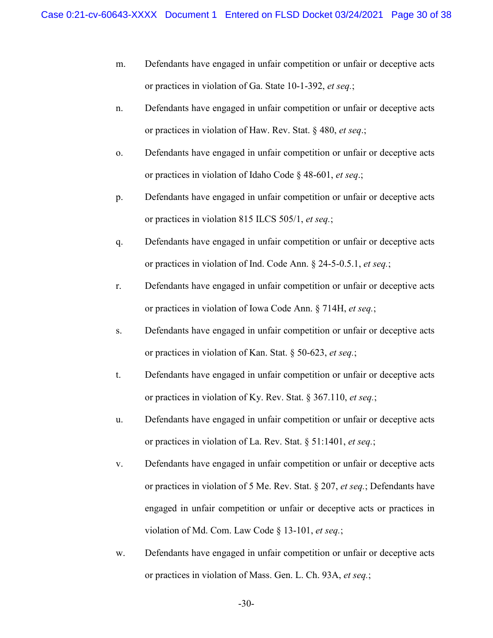- m. Defendants have engaged in unfair competition or unfair or deceptive acts or practices in violation of Ga. State 10-1-392, *et seq.*;
- n. Defendants have engaged in unfair competition or unfair or deceptive acts or practices in violation of Haw. Rev. Stat. § 480, *et seq*.;
- o. Defendants have engaged in unfair competition or unfair or deceptive acts or practices in violation of Idaho Code § 48-601, *et seq*.;
- p. Defendants have engaged in unfair competition or unfair or deceptive acts or practices in violation 815 ILCS 505/1, *et seq.*;
- q. Defendants have engaged in unfair competition or unfair or deceptive acts or practices in violation of Ind. Code Ann. § 24-5-0.5.1, *et seq.*;
- r. Defendants have engaged in unfair competition or unfair or deceptive acts or practices in violation of Iowa Code Ann. § 714H, *et seq.*;
- s. Defendants have engaged in unfair competition or unfair or deceptive acts or practices in violation of Kan. Stat. § 50-623, *et seq.*;
- t. Defendants have engaged in unfair competition or unfair or deceptive acts or practices in violation of Ky. Rev. Stat. § 367.110, *et seq.*;
- u. Defendants have engaged in unfair competition or unfair or deceptive acts or practices in violation of La. Rev. Stat. § 51:1401, *et seq.*;
- v. Defendants have engaged in unfair competition or unfair or deceptive acts or practices in violation of 5 Me. Rev. Stat. § 207, *et seq.*; Defendants have engaged in unfair competition or unfair or deceptive acts or practices in violation of Md. Com. Law Code § 13-101, *et seq.*;
- w. Defendants have engaged in unfair competition or unfair or deceptive acts or practices in violation of Mass. Gen. L. Ch. 93A, *et seq.*;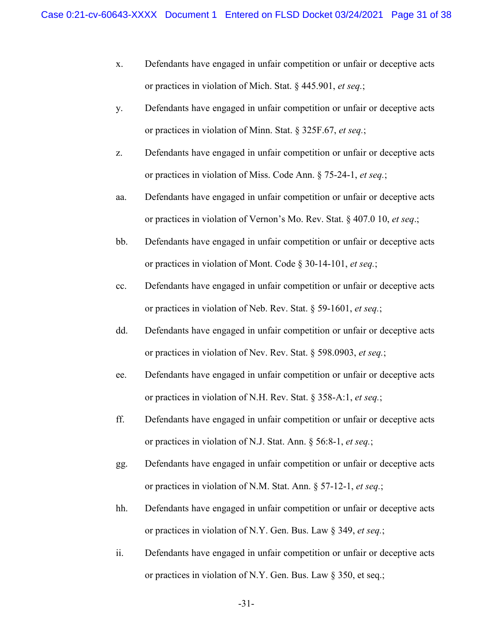- x. Defendants have engaged in unfair competition or unfair or deceptive acts or practices in violation of Mich. Stat. § 445.901, *et seq.*;
- y. Defendants have engaged in unfair competition or unfair or deceptive acts or practices in violation of Minn. Stat. § 325F.67, *et seq.*;
- z. Defendants have engaged in unfair competition or unfair or deceptive acts or practices in violation of Miss. Code Ann. § 75-24-1, *et seq.*;
- aa. Defendants have engaged in unfair competition or unfair or deceptive acts or practices in violation of Vernon's Mo. Rev. Stat. § 407.0 10, *et seq*.;
- bb. Defendants have engaged in unfair competition or unfair or deceptive acts or practices in violation of Mont. Code § 30-14-101, *et seq.*;
- cc. Defendants have engaged in unfair competition or unfair or deceptive acts or practices in violation of Neb. Rev. Stat. § 59-1601, *et seq.*;
- dd. Defendants have engaged in unfair competition or unfair or deceptive acts or practices in violation of Nev. Rev. Stat. § 598.0903, *et seq.*;
- ee. Defendants have engaged in unfair competition or unfair or deceptive acts or practices in violation of N.H. Rev. Stat. § 358-A:1, *et seq.*;
- ff. Defendants have engaged in unfair competition or unfair or deceptive acts or practices in violation of N.J. Stat. Ann. § 56:8-1, *et seq.*;
- gg. Defendants have engaged in unfair competition or unfair or deceptive acts or practices in violation of N.M. Stat. Ann. § 57-12-1, *et seq.*;
- hh. Defendants have engaged in unfair competition or unfair or deceptive acts or practices in violation of N.Y. Gen. Bus. Law § 349, *et seq.*;
- ii. Defendants have engaged in unfair competition or unfair or deceptive acts or practices in violation of N.Y. Gen. Bus. Law § 350, et seq.;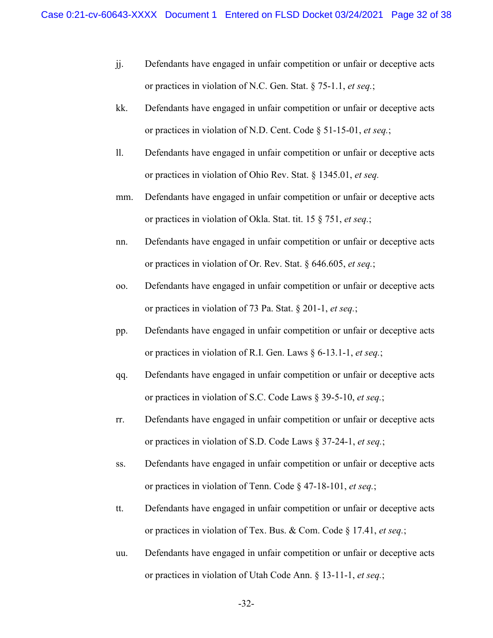- jj. Defendants have engaged in unfair competition or unfair or deceptive acts or practices in violation of N.C. Gen. Stat. § 75-1.1, *et seq.*;
- kk. Defendants have engaged in unfair competition or unfair or deceptive acts or practices in violation of N.D. Cent. Code § 51-15-01, *et seq.*;
- ll. Defendants have engaged in unfair competition or unfair or deceptive acts or practices in violation of Ohio Rev. Stat. § 1345.01, *et seq.*
- mm. Defendants have engaged in unfair competition or unfair or deceptive acts or practices in violation of Okla. Stat. tit. 15 § 751, *et seq.*;
- nn. Defendants have engaged in unfair competition or unfair or deceptive acts or practices in violation of Or. Rev. Stat. § 646.605, *et seq.*;
- oo. Defendants have engaged in unfair competition or unfair or deceptive acts or practices in violation of 73 Pa. Stat. § 201-1, *et seq.*;
- pp. Defendants have engaged in unfair competition or unfair or deceptive acts or practices in violation of R.I. Gen. Laws § 6-13.1-1, *et seq.*;
- qq. Defendants have engaged in unfair competition or unfair or deceptive acts or practices in violation of S.C. Code Laws § 39-5-10, *et seq.*;
- rr. Defendants have engaged in unfair competition or unfair or deceptive acts or practices in violation of S.D. Code Laws § 37-24-1, *et seq.*;
- ss. Defendants have engaged in unfair competition or unfair or deceptive acts or practices in violation of Tenn. Code § 47-18-101, *et seq.*;
- tt. Defendants have engaged in unfair competition or unfair or deceptive acts or practices in violation of Tex. Bus. & Com. Code § 17.41, *et seq.*;
- uu. Defendants have engaged in unfair competition or unfair or deceptive acts or practices in violation of Utah Code Ann. § 13-11-1, *et seq.*;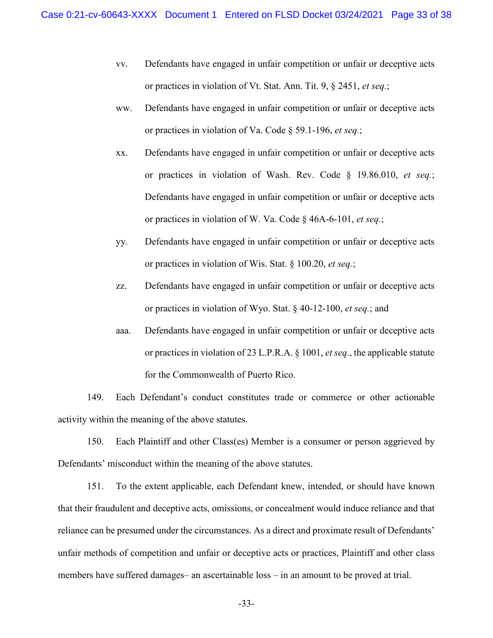- vv. Defendants have engaged in unfair competition or unfair or deceptive acts or practices in violation of Vt. Stat. Ann. Tit. 9, § 2451, *et seq.*;
- ww. Defendants have engaged in unfair competition or unfair or deceptive acts or practices in violation of Va. Code § 59.1-196, *et seq.*;
- xx. Defendants have engaged in unfair competition or unfair or deceptive acts or practices in violation of Wash. Rev. Code § 19.86.010, *et seq.*; Defendants have engaged in unfair competition or unfair or deceptive acts or practices in violation of W. Va. Code § 46A-6-101, *et seq.*;
- yy. Defendants have engaged in unfair competition or unfair or deceptive acts or practices in violation of Wis. Stat. § 100.20, *et seq.*;
- zz. Defendants have engaged in unfair competition or unfair or deceptive acts or practices in violation of Wyo. Stat. § 40-12-100, *et seq.*; and
- aaa. Defendants have engaged in unfair competition or unfair or deceptive acts or practices in violation of 23 L.P.R.A. § 1001, *et seq.*, the applicable statute for the Commonwealth of Puerto Rico.

149. Each Defendant's conduct constitutes trade or commerce or other actionable activity within the meaning of the above statutes.

150. Each Plaintiff and other Class(es) Member is a consumer or person aggrieved by Defendants' misconduct within the meaning of the above statutes.

151. To the extent applicable, each Defendant knew, intended, or should have known that their fraudulent and deceptive acts, omissions, or concealment would induce reliance and that reliance can be presumed under the circumstances. As a direct and proximate result of Defendants' unfair methods of competition and unfair or deceptive acts or practices, Plaintiff and other class members have suffered damages– an ascertainable loss – in an amount to be proved at trial.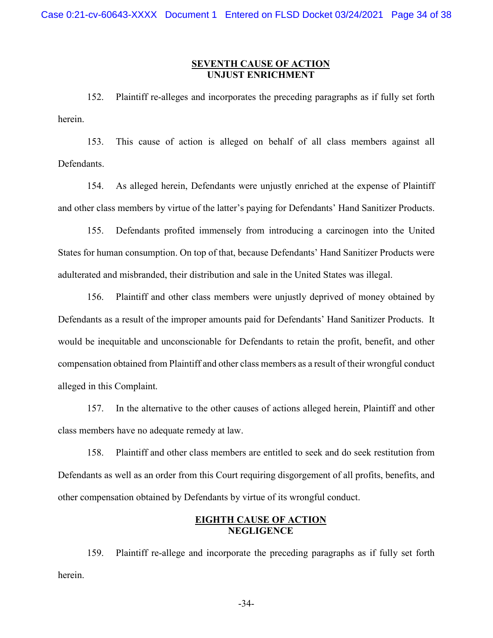## **SEVENTH CAUSE OF ACTION UNJUST ENRICHMENT**

152. Plaintiff re-alleges and incorporates the preceding paragraphs as if fully set forth herein.

153. This cause of action is alleged on behalf of all class members against all Defendants.

154. As alleged herein, Defendants were unjustly enriched at the expense of Plaintiff and other class members by virtue of the latter's paying for Defendants' Hand Sanitizer Products.

155. Defendants profited immensely from introducing a carcinogen into the United States for human consumption. On top of that, because Defendants' Hand Sanitizer Products were adulterated and misbranded, their distribution and sale in the United States was illegal.

156. Plaintiff and other class members were unjustly deprived of money obtained by Defendants as a result of the improper amounts paid for Defendants' Hand Sanitizer Products. It would be inequitable and unconscionable for Defendants to retain the profit, benefit, and other compensation obtained from Plaintiff and other class members as a result of their wrongful conduct alleged in this Complaint.

157. In the alternative to the other causes of actions alleged herein, Plaintiff and other class members have no adequate remedy at law.

158. Plaintiff and other class members are entitled to seek and do seek restitution from Defendants as well as an order from this Court requiring disgorgement of all profits, benefits, and other compensation obtained by Defendants by virtue of its wrongful conduct.

# **EIGHTH CAUSE OF ACTION NEGLIGENCE**

159. Plaintiff re-allege and incorporate the preceding paragraphs as if fully set forth herein.

-34-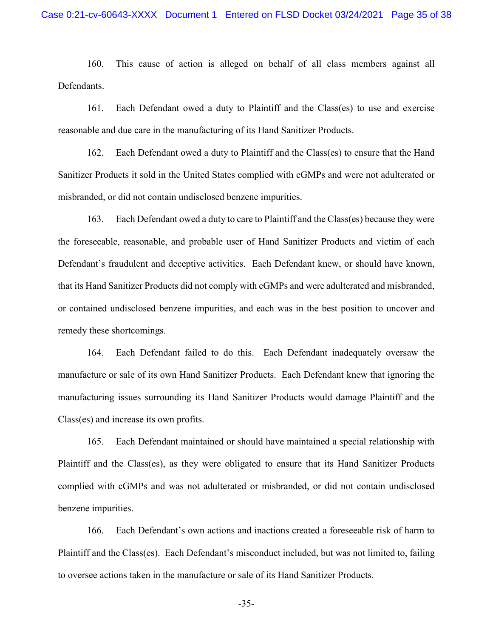160. This cause of action is alleged on behalf of all class members against all Defendants.

161. Each Defendant owed a duty to Plaintiff and the Class(es) to use and exercise reasonable and due care in the manufacturing of its Hand Sanitizer Products.

162. Each Defendant owed a duty to Plaintiff and the Class(es) to ensure that the Hand Sanitizer Products it sold in the United States complied with cGMPs and were not adulterated or misbranded, or did not contain undisclosed benzene impurities.

163. Each Defendant owed a duty to care to Plaintiff and the Class(es) because they were the foreseeable, reasonable, and probable user of Hand Sanitizer Products and victim of each Defendant's fraudulent and deceptive activities. Each Defendant knew, or should have known, that its Hand Sanitizer Products did not comply with cGMPs and were adulterated and misbranded, or contained undisclosed benzene impurities, and each was in the best position to uncover and remedy these shortcomings.

164. Each Defendant failed to do this. Each Defendant inadequately oversaw the manufacture or sale of its own Hand Sanitizer Products. Each Defendant knew that ignoring the manufacturing issues surrounding its Hand Sanitizer Products would damage Plaintiff and the Class(es) and increase its own profits.

165. Each Defendant maintained or should have maintained a special relationship with Plaintiff and the Class(es), as they were obligated to ensure that its Hand Sanitizer Products complied with cGMPs and was not adulterated or misbranded, or did not contain undisclosed benzene impurities.

166. Each Defendant's own actions and inactions created a foreseeable risk of harm to Plaintiff and the Class(es). Each Defendant's misconduct included, but was not limited to, failing to oversee actions taken in the manufacture or sale of its Hand Sanitizer Products.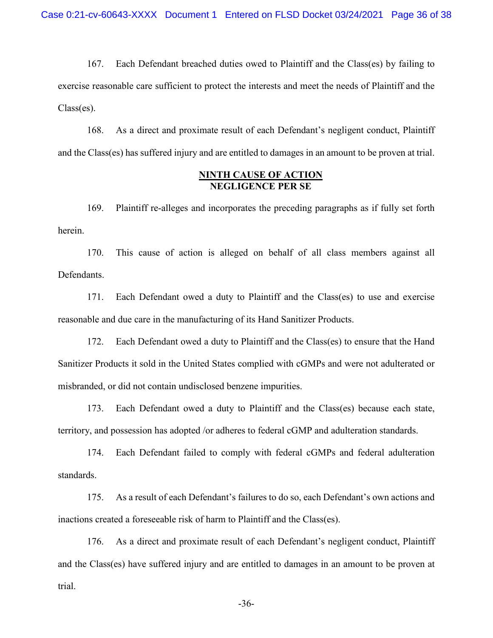167. Each Defendant breached duties owed to Plaintiff and the Class(es) by failing to exercise reasonable care sufficient to protect the interests and meet the needs of Plaintiff and the Class(es).

168. As a direct and proximate result of each Defendant's negligent conduct, Plaintiff and the Class(es) has suffered injury and are entitled to damages in an amount to be proven at trial.

# **NINTH CAUSE OF ACTION NEGLIGENCE PER SE**

169. Plaintiff re-alleges and incorporates the preceding paragraphs as if fully set forth herein.

170. This cause of action is alleged on behalf of all class members against all Defendants.

171. Each Defendant owed a duty to Plaintiff and the Class(es) to use and exercise reasonable and due care in the manufacturing of its Hand Sanitizer Products.

172. Each Defendant owed a duty to Plaintiff and the Class(es) to ensure that the Hand Sanitizer Products it sold in the United States complied with cGMPs and were not adulterated or misbranded, or did not contain undisclosed benzene impurities.

173. Each Defendant owed a duty to Plaintiff and the Class(es) because each state, territory, and possession has adopted /or adheres to federal cGMP and adulteration standards.

174. Each Defendant failed to comply with federal cGMPs and federal adulteration standards.

175. As a result of each Defendant's failures to do so, each Defendant's own actions and inactions created a foreseeable risk of harm to Plaintiff and the Class(es).

176. As a direct and proximate result of each Defendant's negligent conduct, Plaintiff and the Class(es) have suffered injury and are entitled to damages in an amount to be proven at trial.

-36-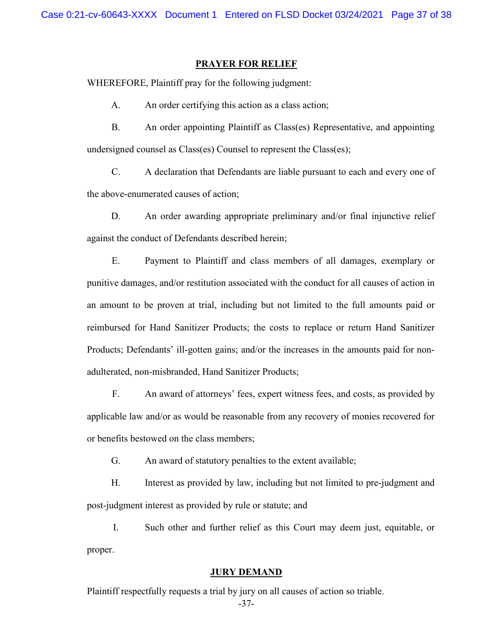#### **PRAYER FOR RELIEF**

WHEREFORE, Plaintiff pray for the following judgment:

A. An order certifying this action as a class action;

B. An order appointing Plaintiff as Class(es) Representative, and appointing undersigned counsel as Class(es) Counsel to represent the Class(es);

C. A declaration that Defendants are liable pursuant to each and every one of the above-enumerated causes of action;

D. An order awarding appropriate preliminary and/or final injunctive relief against the conduct of Defendants described herein;

E. Payment to Plaintiff and class members of all damages, exemplary or punitive damages, and/or restitution associated with the conduct for all causes of action in an amount to be proven at trial, including but not limited to the full amounts paid or reimbursed for Hand Sanitizer Products; the costs to replace or return Hand Sanitizer Products; Defendants' ill-gotten gains; and/or the increases in the amounts paid for nonadulterated, non-misbranded, Hand Sanitizer Products;

F. An award of attorneys' fees, expert witness fees, and costs, as provided by applicable law and/or as would be reasonable from any recovery of monies recovered for or benefits bestowed on the class members;

G. An award of statutory penalties to the extent available;

H. Interest as provided by law, including but not limited to pre-judgment and post-judgment interest as provided by rule or statute; and

I. Such other and further relief as this Court may deem just, equitable, or proper.

## **JURY DEMAND**

Plaintiff respectfully requests a trial by jury on all causes of action so triable.

-37-